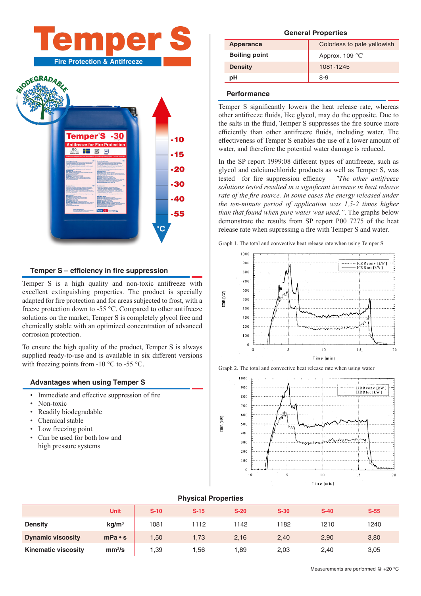# ne M **Fire Protection & Antifreeze**



#### **Temper S – efficiency in fire suppression**

Temper S is a high quality and non-toxic antifreeze with excellent extinguishing properties. The product is specially adapted for fire protection and for areas subjected to frost, with a freeze protection down to -55 °C. Compared to other antifreeze solutions on the market, Temper S is completely glycol free and chemically stable with an optimized concentration of advanced corrosion protection.

To ensure the high quality of the product, Temper S is always supplied ready-to-use and is available in six different versions with freezing points from -10  $\rm{^{\circ}C}$  to -55  $\rm{^{\circ}C}$ .

#### **Advantages when using Temper S**

- Immediate and effective suppression of fire
- Non-toxic
- Readily biodegradable
- Chemical stable
- Low freezing point
- Can be used for both low and high pressure systems

#### **General Properties**

| Apperance            | Colorless to pale yellowish |  |  |  |
|----------------------|-----------------------------|--|--|--|
| <b>Boiling point</b> | Approx. $109^{\circ}$ C     |  |  |  |
| <b>Density</b>       | 1081-1245                   |  |  |  |
| pН                   | 8-9                         |  |  |  |

#### **Performance**

Temper S significantly lowers the heat release rate, whereas other antifreeze fluids, like glycol, may do the opposite. Due to the salts in the fluid, Temper S suppresses the fire source more efficiently than other antifreeze fluids, including water. The effectiveness of Temper S enables the use of a lower amount of water, and therefore the potential water damage is reduced.

In the SP report 1999:08 different types of antifreeze, such as glycol and calciumchloride products as well as Temper S, was tested for fire suppression effiency – *"The other antifreeze solutions tested resulted in a significant increase in heat release rate of the fire source. In some cases the energy released under the ten-minute period of application was 1,5-2 times higher than that found when pure water was used."*. The graphs below demonstrate the results from SP report P00 7275 of the heat release rate when supressing a fire with Temper S and water.

Graph 1. The total and convective heat release rate when using Temper S



Graph 2. The total and convective heat release rate when using water



#### **Physical Properties**

|                            | <b>Unit</b>        | $S-10$ | $S-15$ | $S-20$ | $S-30$ | $S-40$ | $S-55$ |
|----------------------------|--------------------|--------|--------|--------|--------|--------|--------|
| <b>Density</b>             | kg/m <sup>3</sup>  | 1081   | 1112   | 1142   | 1182   | 1210   | 1240   |
| <b>Dynamic viscosity</b>   | $mPa \cdot s$      | ,50    | 1,73   | 2,16   | 2,40   | 2,90   | 3,80   |
| <b>Kinematic viscosity</b> | mm <sup>2</sup> /s | .39    | .56    | 0.89   | 2,03   | 2,40   | 3,05   |